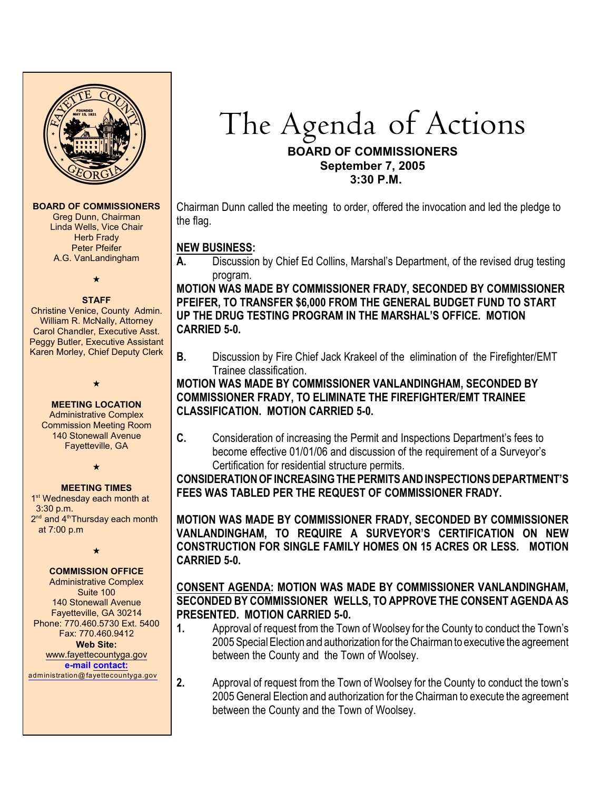

#### **BOARD OF COMMISSIONERS**

Greg Dunn, Chairman Linda Wells, Vice Chair **Herb Frady** Peter Pfeifer A.G. VanLandingham

 $\star$ 

#### **STAFF**

 Christine Venice, County Admin. William R. McNally, Attorney Carol Chandler, Executive Asst. Peggy Butler, Executive Assistant Karen Morley, Chief Deputy Clerk

 $\star$ 

**MEETING LOCATION** Administrative Complex Commission Meeting Room 140 Stonewall Avenue Fayetteville, GA

 $\star$ 

### **MEETING TIMES**

1<sup>st</sup> Wednesday each month at 3:30 p.m.  $2<sup>nd</sup>$  and  $4<sup>th</sup>$ Thursday each month at 7:00 p.m

 $\star$ 

## **COMMISSION OFFICE**

Administrative Complex Suite 100 140 Stonewall Avenue Fayetteville, GA 30214 Phone: 770.460.5730 Ext. 5400 Fax: 770.460.9412 **Web Site:** [www.fayettecountyga.gov](http://www.admin.co.fayette.ga.us) **e-mail [contact:](mailto:administration@fayettecountyga.gov)**

[administration@fayettecountyga.gov](mailto:administration@fayettecountyga.gov)

# The Agenda of Actions

## **BOARD OF COMMISSIONERS September 7, 2005 3:30 P.M.**

Chairman Dunn called the meeting to order, offered the invocation and led the pledge to the flag.

# **NEW BUSINESS:**

**A.** Discussion by Chief Ed Collins, Marshal's Department, of the revised drug testing program.

**MOTION WAS MADE BY COMMISSIONER FRADY, SECONDED BY COMMISSIONER PFEIFER, TO TRANSFER \$6,000 FROM THE GENERAL BUDGET FUND TO START UP THE DRUG TESTING PROGRAM IN THE MARSHAL'S OFFICE. MOTION CARRIED 5-0.**

**B.** Discussion by Fire Chief Jack Krakeel of the elimination of the Firefighter/EMT Trainee classification.

## **MOTION WAS MADE BY COMMISSIONER VANLANDINGHAM, SECONDED BY COMMISSIONER FRADY, TO ELIMINATE THE FIREFIGHTER/EMT TRAINEE CLASSIFICATION. MOTION CARRIED 5-0.**

**C.** Consideration of increasing the Permit and Inspections Department's fees to become effective 01/01/06 and discussion of the requirement of a Surveyor's Certification for residential structure permits.

**CONSIDERATION OF INCREASING THE PERMITS AND INSPECTIONS DEPARTMENT'S FEES WAS TABLED PER THE REQUEST OF COMMISSIONER FRADY.**

**MOTION WAS MADE BY COMMISSIONER FRADY, SECONDED BY COMMISSIONER VANLANDINGHAM, TO REQUIRE A SURVEYOR'S CERTIFICATION ON NEW CONSTRUCTION FOR SINGLE FAMILY HOMES ON 15 ACRES OR LESS. MOTION CARRIED 5-0.**

## **CONSENT AGENDA: MOTION WAS MADE BY COMMISSIONER VANLANDINGHAM, SECONDED BY COMMISSIONER WELLS, TO APPROVE THE CONSENT AGENDA AS PRESENTED. MOTION CARRIED 5-0.**

- **1.** Approval of request from the Town of Woolsey for the County to conduct the Town's 2005 Special Election and authorization for the Chairman to executive the agreement between the County and the Town of Woolsey.
- **2.** Approval of request from the Town of Woolsey for the County to conduct the town's 2005 General Election and authorization for the Chairman to execute the agreement between the County and the Town of Woolsey.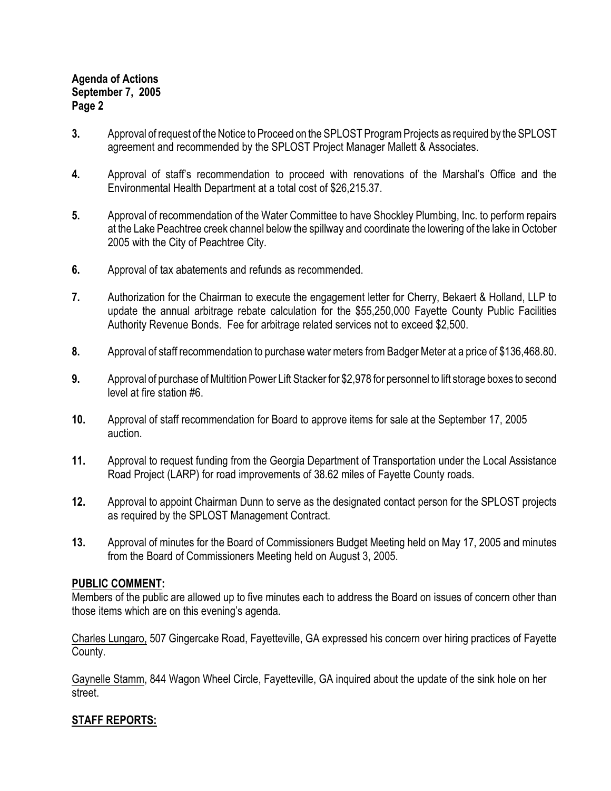## **Agenda of Actions September 7, 2005 Page 2**

- **3.** Approval of request of the Notice to Proceed on the SPLOST Program Projects as required by the SPLOST agreement and recommended by the SPLOST Project Manager Mallett & Associates.
- **4.** Approval of staff's recommendation to proceed with renovations of the Marshal's Office and the Environmental Health Department at a total cost of \$26,215.37.
- **5.** Approval of recommendation of the Water Committee to have Shockley Plumbing, Inc. to perform repairs at the Lake Peachtree creek channel below the spillway and coordinate the lowering of the lake in October 2005 with the City of Peachtree City.
- **6.** Approval of tax abatements and refunds as recommended.
- **7.** Authorization for the Chairman to execute the engagement letter for Cherry, Bekaert & Holland, LLP to update the annual arbitrage rebate calculation for the \$55,250,000 Fayette County Public Facilities Authority Revenue Bonds. Fee for arbitrage related services not to exceed \$2,500.
- **8.** Approval of staff recommendation to purchase water meters from Badger Meter at a price of \$136,468.80.
- **9.** Approval of purchase of Multition Power Lift Stacker for \$2,978 for personnel to lift storage boxes to second level at fire station #6.
- **10.** Approval of staff recommendation for Board to approve items for sale at the September 17, 2005 auction.
- **11.** Approval to request funding from the Georgia Department of Transportation under the Local Assistance Road Project (LARP) for road improvements of 38.62 miles of Fayette County roads.
- **12.** Approval to appoint Chairman Dunn to serve as the designated contact person for the SPLOST projects as required by the SPLOST Management Contract.
- **13.** Approval of minutes for the Board of Commissioners Budget Meeting held on May 17, 2005 and minutes from the Board of Commissioners Meeting held on August 3, 2005.

## **PUBLIC COMMENT:**

Members of the public are allowed up to five minutes each to address the Board on issues of concern other than those items which are on this evening's agenda.

Charles Lungaro, 507 Gingercake Road, Fayetteville, GA expressed his concern over hiring practices of Fayette County.

Gaynelle Stamm, 844 Wagon Wheel Circle, Fayetteville, GA inquired about the update of the sink hole on her street.

## **STAFF REPORTS:**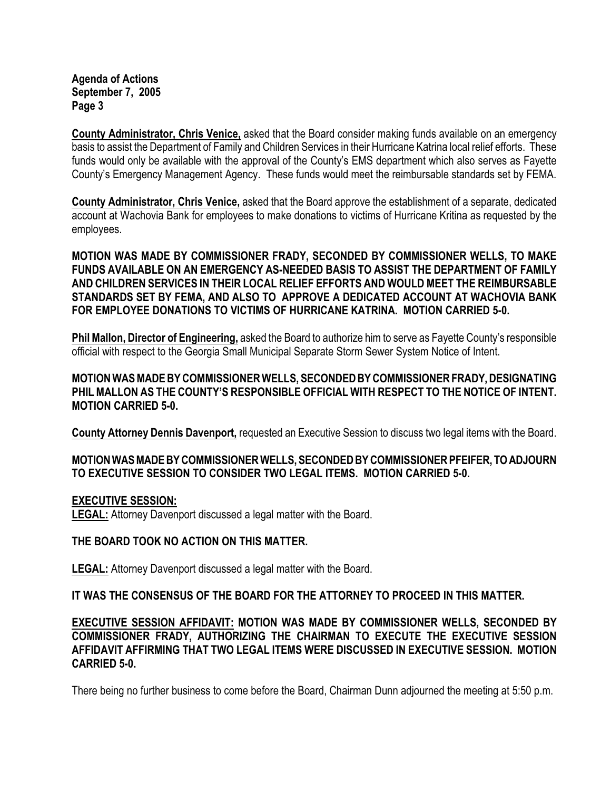**Agenda of Actions September 7, 2005 Page 3**

**County Administrator, Chris Venice,** asked that the Board consider making funds available on an emergency basis to assist the Department of Family and Children Services in their Hurricane Katrina local relief efforts. These funds would only be available with the approval of the County's EMS department which also serves as Fayette County's Emergency Management Agency. These funds would meet the reimbursable standards set by FEMA.

**County Administrator, Chris Venice,** asked that the Board approve the establishment of a separate, dedicated account at Wachovia Bank for employees to make donations to victims of Hurricane Kritina as requested by the employees.

**MOTION WAS MADE BY COMMISSIONER FRADY, SECONDED BY COMMISSIONER WELLS, TO MAKE FUNDS AVAILABLE ON AN EMERGENCY AS-NEEDED BASIS TO ASSIST THE DEPARTMENT OF FAMILY AND CHILDREN SERVICES IN THEIR LOCAL RELIEF EFFORTS AND WOULD MEET THE REIMBURSABLE STANDARDS SET BY FEMA, AND ALSO TO APPROVE A DEDICATED ACCOUNT AT WACHOVIA BANK FOR EMPLOYEE DONATIONS TO VICTIMS OF HURRICANE KATRINA. MOTION CARRIED 5-0.**

**Phil Mallon, Director of Engineering,** asked the Board to authorize him to serve as Fayette County's responsible official with respect to the Georgia Small Municipal Separate Storm Sewer System Notice of Intent.

**MOTION WAS MADE BY COMMISSIONER WELLS, SECONDED BY COMMISSIONER FRADY, DESIGNATING PHIL MALLON AS THE COUNTY'S RESPONSIBLE OFFICIAL WITH RESPECT TO THE NOTICE OF INTENT. MOTION CARRIED 5-0.**

**County Attorney Dennis Davenport,** requested an Executive Session to discuss two legal items with the Board.

## **MOTION WAS MADE BY COMMISSIONER WELLS, SECONDED BY COMMISSIONER PFEIFER, TO ADJOURN TO EXECUTIVE SESSION TO CONSIDER TWO LEGAL ITEMS. MOTION CARRIED 5-0.**

### **EXECUTIVE SESSION:**

**LEGAL:** Attorney Davenport discussed a legal matter with the Board.

## **THE BOARD TOOK NO ACTION ON THIS MATTER.**

**LEGAL:** Attorney Davenport discussed a legal matter with the Board.

**IT WAS THE CONSENSUS OF THE BOARD FOR THE ATTORNEY TO PROCEED IN THIS MATTER.**

**EXECUTIVE SESSION AFFIDAVIT: MOTION WAS MADE BY COMMISSIONER WELLS, SECONDED BY COMMISSIONER FRADY, AUTHORIZING THE CHAIRMAN TO EXECUTE THE EXECUTIVE SESSION AFFIDAVIT AFFIRMING THAT TWO LEGAL ITEMS WERE DISCUSSED IN EXECUTIVE SESSION. MOTION CARRIED 5-0.**

There being no further business to come before the Board, Chairman Dunn adjourned the meeting at 5:50 p.m.